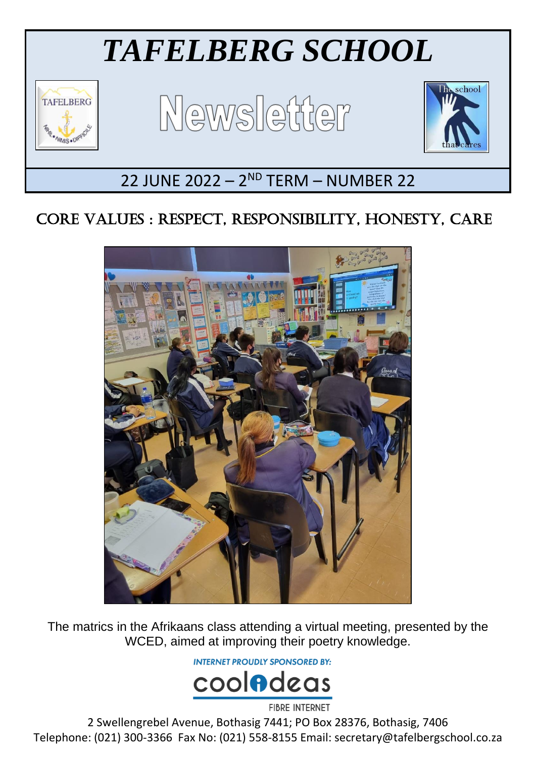

# CORE VALUES : RESPECT, RESPONSIBILITY, HONESTY, CARE



The matrics in the Afrikaans class attending a virtual meeting, presented by the WCED, aimed at improving their poetry knowledge.

**INTERNET PROUDLY SPONSORED BY:** 



**FIBRE INTERNET** 

2 Swellengrebel Avenue, Bothasig 7441; PO Box 28376, Bothasig, 7406 Telephone: (021) 300-3366 Fax No: (021) 558-8155 Email: secretary@tafelbergschool.co.za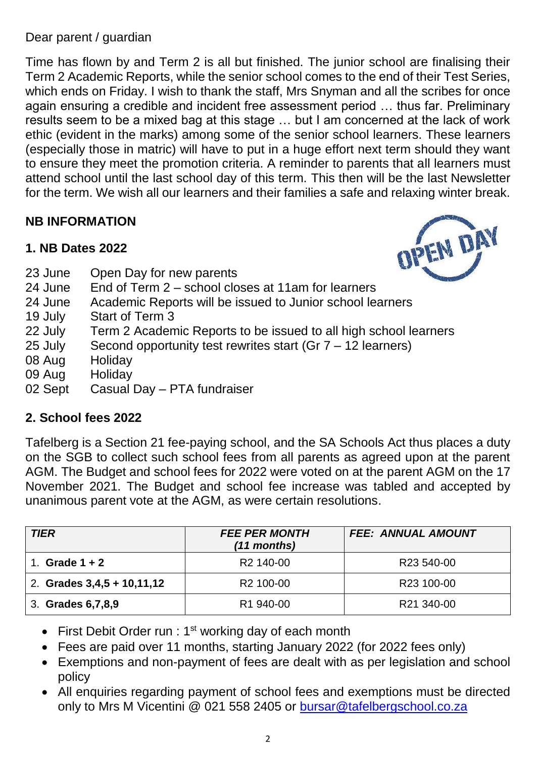#### Dear parent / guardian

Time has flown by and Term 2 is all but finished. The junior school are finalising their Term 2 Academic Reports, while the senior school comes to the end of their Test Series, which ends on Friday. I wish to thank the staff, Mrs Snyman and all the scribes for once again ensuring a credible and incident free assessment period … thus far. Preliminary results seem to be a mixed bag at this stage … but I am concerned at the lack of work ethic (evident in the marks) among some of the senior school learners. These learners (especially those in matric) will have to put in a huge effort next term should they want to ensure they meet the promotion criteria. A reminder to parents that all learners must attend school until the last school day of this term. This then will be the last Newsletter for the term. We wish all our learners and their families a safe and relaxing winter break.

# **NB INFORMATION**

# **1. NB Dates 2022**



- 23 June Open Day for new parents
- 24 June End of Term 2 school closes at 11am for learners
- 24 June Academic Reports will be issued to Junior school learners
- 19 July Start of Term 3
- 22 July Term 2 Academic Reports to be issued to all high school learners
- 25 July Second opportunity test rewrites start (Gr 7 12 learners)
- 
- 08 Aug Holiday<br>09 Aug Holiday  $09$  Aug
- 02 Sept Casual Day PTA fundraiser

#### **2. School fees 2022**

Tafelberg is a Section 21 fee-paying school, and the SA Schools Act thus places a duty on the SGB to collect such school fees from all parents as agreed upon at the parent AGM. The Budget and school fees for 2022 were voted on at the parent AGM on the 17 November 2021. The Budget and school fee increase was tabled and accepted by unanimous parent vote at the AGM, as were certain resolutions.

| <b>TIER</b>                  | <b>FEE PER MONTH</b><br>(11 months) | <b>FEE: ANNUAL AMOUNT</b> |
|------------------------------|-------------------------------------|---------------------------|
| Grade $1 + 2$                | R <sub>2</sub> 140-00               | R23 540-00                |
| 2. Grades $3,4,5 + 10,11,12$ | R <sub>2</sub> 100-00               | R23 100-00                |
| 3. Grades 6, 7, 8, 9         | R <sub>1</sub> 940-00               | R21 340-00                |

- First Debit Order run :  $1<sup>st</sup>$  working day of each month
- Fees are paid over 11 months, starting January 2022 (for 2022 fees only)
- Exemptions and non-payment of fees are dealt with as per legislation and school policy
- All enquiries regarding payment of school fees and exemptions must be directed only to Mrs M Vicentini @ 021 558 2405 or [bursar@tafelbergschool.co.za](mailto:bursar@tafelbergschool.co.za)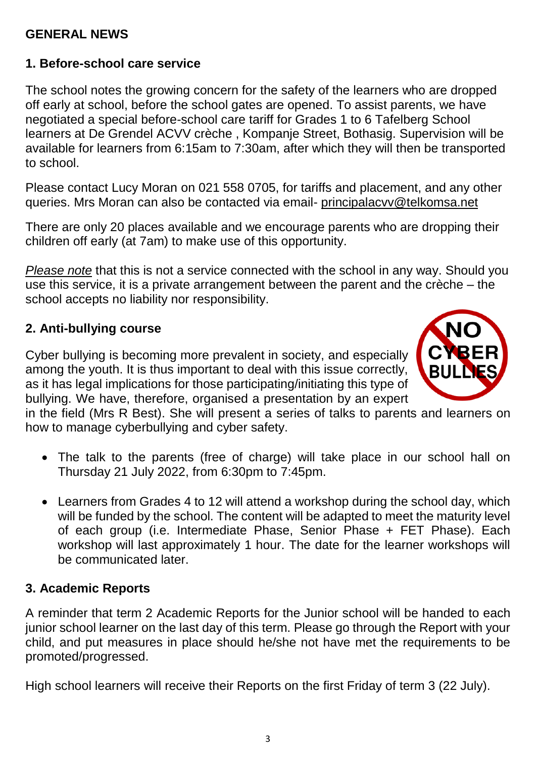#### **GENERAL NEWS**

# **1. Before-school care service**

The school notes the growing concern for the safety of the learners who are dropped off early at school, before the school gates are opened. To assist parents, we have negotiated a special before-school care tariff for Grades 1 to 6 Tafelberg School learners at De Grendel ACVV crèche , Kompanje Street, Bothasig. Supervision will be available for learners from 6:15am to 7:30am, after which they will then be transported to school.

Please contact Lucy Moran on 021 558 0705, for tariffs and placement, and any other queries. Mrs Moran can also be contacted via email- [principalacvv@telkomsa.net](mailto:principalacvv@telkomsa.net)

There are only 20 places available and we encourage parents who are dropping their children off early (at 7am) to make use of this opportunity.

*Please note* that this is not a service connected with the school in any way. Should you use this service, it is a private arrangement between the parent and the crèche – the school accepts no liability nor responsibility.

#### **2. Anti-bullying course**

Cyber bullying is becoming more prevalent in society, and especially among the youth. It is thus important to deal with this issue correctly, as it has legal implications for those participating/initiating this type of bullying. We have, therefore, organised a presentation by an expert



in the field (Mrs R Best). She will present a series of talks to parents and learners on how to manage cyberbullying and cyber safety.

- The talk to the parents (free of charge) will take place in our school hall on Thursday 21 July 2022, from 6:30pm to 7:45pm.
- Learners from Grades 4 to 12 will attend a workshop during the school day, which will be funded by the school. The content will be adapted to meet the maturity level of each group (i.e. Intermediate Phase, Senior Phase + FET Phase). Each workshop will last approximately 1 hour. The date for the learner workshops will be communicated later.

#### **3. Academic Reports**

A reminder that term 2 Academic Reports for the Junior school will be handed to each junior school learner on the last day of this term. Please go through the Report with your child, and put measures in place should he/she not have met the requirements to be promoted/progressed.

High school learners will receive their Reports on the first Friday of term 3 (22 July).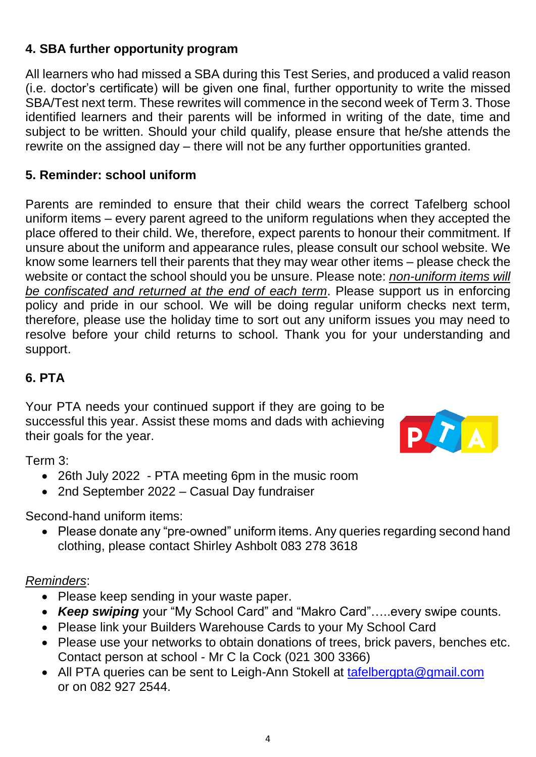# **4. SBA further opportunity program**

All learners who had missed a SBA during this Test Series, and produced a valid reason (i.e. doctor's certificate) will be given one final, further opportunity to write the missed SBA/Test next term. These rewrites will commence in the second week of Term 3. Those identified learners and their parents will be informed in writing of the date, time and subject to be written. Should your child qualify, please ensure that he/she attends the rewrite on the assigned day – there will not be any further opportunities granted.

#### **5. Reminder: school uniform**

Parents are reminded to ensure that their child wears the correct Tafelberg school uniform items – every parent agreed to the uniform regulations when they accepted the place offered to their child. We, therefore, expect parents to honour their commitment. If unsure about the uniform and appearance rules, please consult our school website. We know some learners tell their parents that they may wear other items – please check the website or contact the school should you be unsure. Please note: *non-uniform items will be confiscated and returned at the end of each term*. Please support us in enforcing policy and pride in our school. We will be doing regular uniform checks next term, therefore, please use the holiday time to sort out any uniform issues you may need to resolve before your child returns to school. Thank you for your understanding and support.

#### **6. PTA**

Your PTA needs your continued support if they are going to be successful this year. Assist these moms and dads with achieving their goals for the year.



Term 3:

- 26th July 2022 PTA meeting 6pm in the music room
- 2nd September 2022 Casual Day fundraiser

Second-hand uniform items:

 Please donate any "pre-owned" uniform items. Any queries regarding second hand clothing, please contact Shirley Ashbolt 083 278 3618

#### *Reminders*:

- Please keep sending in your waste paper.
- *Keep swiping* your "My School Card" and "Makro Card"…..every swipe counts.
- Please link your Builders Warehouse Cards to your My School Card
- Please use your networks to obtain donations of trees, brick pavers, benches etc. Contact person at school - Mr C la Cock (021 300 3366)
- All PTA queries can be sent to Leigh-Ann Stokell at [tafelbergpta@gmail.com](mailto:tafelbergpta@gmail.com) or on 082 927 2544.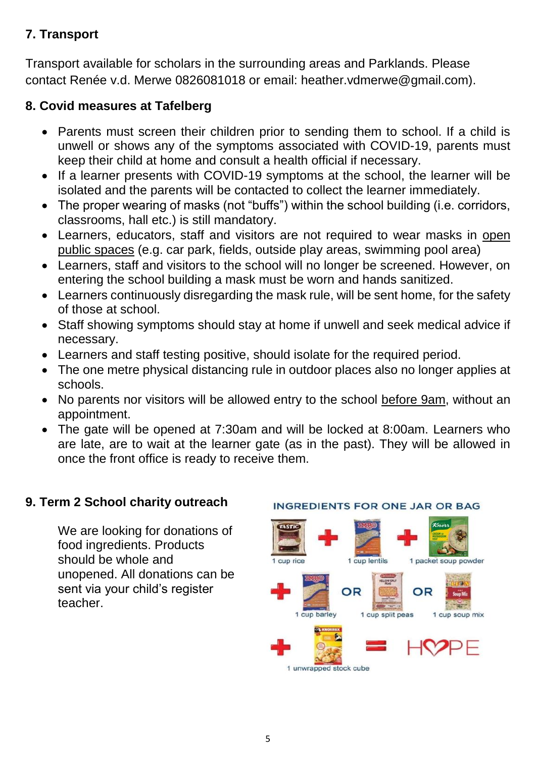# **7. Transport**

Transport available for scholars in the surrounding areas and Parklands. Please contact Renée v.d. Merwe 0826081018 or email: [heather.vdmerwe@gmail.com\)](mailto:heather.vdmerwe@gmail.com).

#### **8. Covid measures at Tafelberg**

- Parents must screen their children prior to sending them to school. If a child is unwell or shows any of the symptoms associated with COVID-19, parents must keep their child at home and consult a health official if necessary.
- If a learner presents with COVID-19 symptoms at the school, the learner will be isolated and the parents will be contacted to collect the learner immediately.
- The proper wearing of masks (not "buffs") within the school building (i.e. corridors, classrooms, hall etc.) is still mandatory.
- Learners, educators, staff and visitors are not required to wear masks in open public spaces (e.g. car park, fields, outside play areas, swimming pool area)
- Learners, staff and visitors to the school will no longer be screened. However, on entering the school building a mask must be worn and hands sanitized.
- Learners continuously disregarding the mask rule, will be sent home, for the safety of those at school.
- Staff showing symptoms should stay at home if unwell and seek medical advice if necessary.
- Learners and staff testing positive, should isolate for the required period.
- The one metre physical distancing rule in outdoor places also no longer applies at schools.
- No parents nor visitors will be allowed entry to the school before 9am, without an appointment.
- The gate will be opened at 7:30am and will be locked at 8:00am. Learners who are late, are to wait at the learner gate (as in the past). They will be allowed in once the front office is ready to receive them.

# **9. Term 2 School charity outreach**

We are looking for donations of food ingredients. Products should be whole and unopened. All donations can be sent via your child's register teacher.